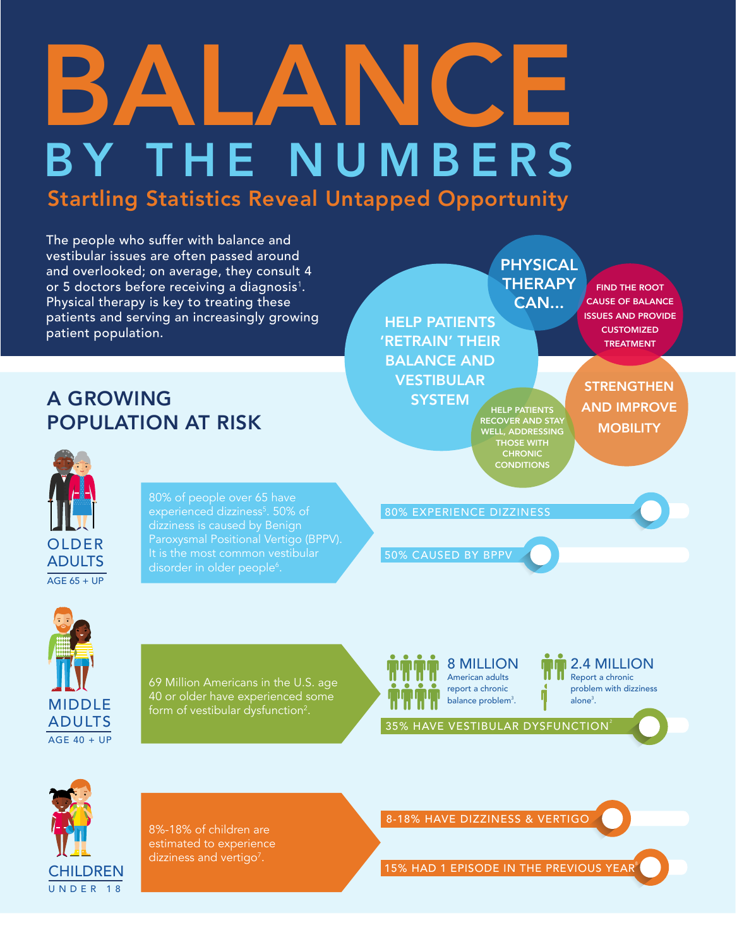## BALANCE BY THE NUMBERS Startling Statistics Reveal Untapped Opportunity

The people who suffer with balance and vestibular issues are often passed around and overlooked; on average, they consult 4 or 5 doctors before receiving a diagnosis $^{\rm 1}.$ Physical therapy is key to treating these patients and serving an increasingly growing patient population.

## A GROWING POPULATION AT RISK

OLDER ADULTS  $AGE$  65 + UP

80% of people over 65 have experienced dizziness<sup>5</sup>. 50% of dizziness is caused by Benign Paroxysmal Positional Vertigo (BPPV). disorder in older people<sup>6</sup>.

HELP PATIENTS 'RETRAIN' THEIR BALANCE AND VESTIBULAR **SYSTEM** CAN...

HELP PATIENTS **RECOVER AND STAY** WELL, ADDRESSING THOSE WITH CHRONIC **CONDITIONS** 

PHYSICAL **THERAPY** 

FIND THE ROOT CAUSE OF BALANCE ISSUES AND PROVIDE **CUSTOMIZED** TREATMENT

**STRENGTHEN** AND IMPROVE **MOBILITY** 

50% CAUSED BY BPPV

80% EXPERIENCE DIZZINESS

MIDDLE ADULTS  $AGF 40 + UP$ 

69 Million Americans in the U.S. age 40 or older have experienced some form of vestibular dysfunction $^2$ .

8 MILLION American adults report a chronic balance problem<sup>3</sup>.

2.4 MILLION Report a chronic problem with dizziness alone<sup>3</sup>.

35% HAVE VESTIBULAR DYSFUNCTION<sup>2</sup>



8%-18% of children are estimated to experience dizziness and vertigo<sup>7</sup>.

8-18% HAVE DIZZINESS & VERTIGO

15% HAD 1 EPISODE IN THE PREVIOUS YEAR<sup>8</sup>